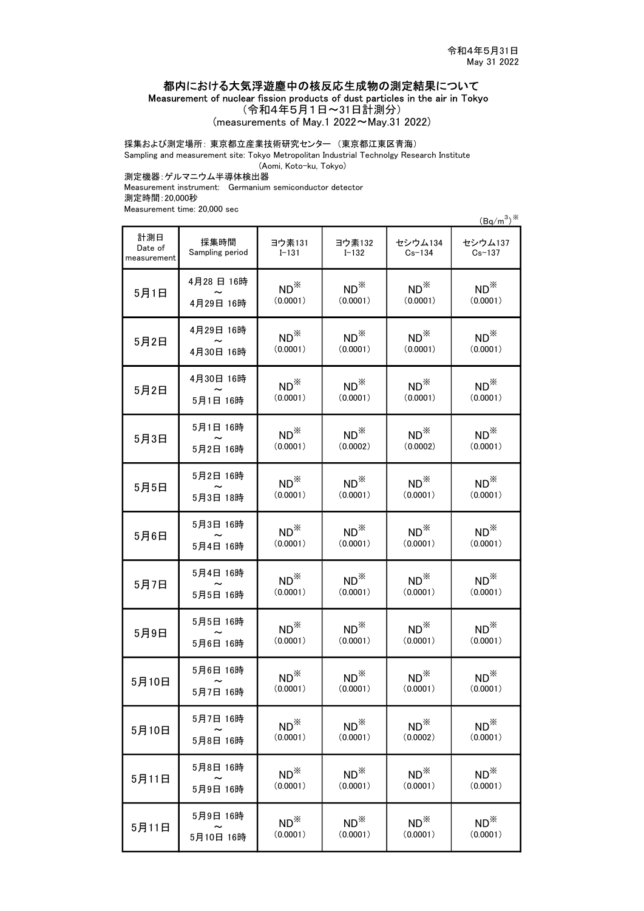## 都内における大気浮遊塵中の核反応生成物の測定結果について

Measurement of nuclear fission products of dust particles in the air in Tokyo

(令和4年5月1日~31日計測分)

(measurements of May.1 2022~May.31 2022)

## 採集および測定場所: 東京都立産業技術研究センター (東京都江東区青海)

Sampling and measurement site: Tokyo Metropolitan Industrial Technolgy Research Institute

(Aomi, Koto-ku, Tokyo)

測定機器:ゲルマニウム半導体検出器

Measurement instrument: Germanium semiconductor detector 測定時間:20,000秒

Measurement time: 20,000 sec

 $(Bq/m^3)$ <sup>3%</sup>

| 計測日<br>Date of<br>measurement | 採集時間<br>Sampling period | ヨウ素131<br>$I - 131$ | ヨウ素132<br>$I - 132$ | セシウム134<br>$Cs - 134$ | セシウム137<br>$Cs - 137$ |
|-------------------------------|-------------------------|---------------------|---------------------|-----------------------|-----------------------|
| 5月1日                          | 4月28日 16時               | $ND^*$              | $ND^*$              | $ND^*$                | $ND^*$                |
|                               | 4月29日 16時               | (0.0001)            | (0.0001)            | (0.0001)              | (0.0001)              |
| 5月2日                          | 4月29日 16時               | $ND^*$              | $ND^*$              | $ND^*$                | $ND^*$                |
|                               | 4月30日 16時               | (0.0001)            | (0.0001)            | (0.0001)              | (0.0001)              |
| 5月2日                          | 4月30日 16時               | $ND^*$              | $ND^*$              | $ND^*$                | $ND^*$                |
|                               | 5月1日 16時                | (0.0001)            | (0.0001)            | (0.0001)              | (0.0001)              |
| 5月3日                          | 5月1日 16時                | $ND^*$              | $ND^*$              | $ND^*$                | $ND^*$                |
|                               | 5月2日 16時                | (0.0001)            | (0.0002)            | (0.0002)              | (0.0001)              |
| 5月5日                          | 5月2日 16時                | $ND^*$              | $ND^*$              | $ND^*$                | $ND^*$                |
|                               | 5月3日 18時                | (0.0001)            | (0.0001)            | (0.0001)              | (0.0001)              |
| 5月6日                          | 5月3日 16時                | $ND^*$              | $ND^*$              | $ND^*$                | $ND^*$                |
|                               | 5月4日 16時                | (0.0001)            | (0.0001)            | (0.0001)              | (0.0001)              |
| 5月7日                          | 5月4日 16時                | $ND^*$              | $ND^*$              | $ND^*$                | $ND^*$                |
|                               | 5月5日 16時                | (0.0001)            | (0.0001)            | (0.0001)              | (0.0001)              |
| 5月9日                          | 5月5日 16時                | $ND^*$              | $ND^*$              | $ND^*$                | $ND^*$                |
|                               | 5月6日 16時                | (0.0001)            | (0.0001)            | (0.0001)              | (0.0001)              |
| 5月10日                         | 5月6日 16時                | $ND^*$              | $ND^*$              | $ND^*$                | $ND^*$                |
|                               | 5月7日 16時                | (0.0001)            | (0.0001)            | (0.0001)              | (0.0001)              |
| 5月10日                         | 5月7日 16時                | $ND^*$              | $ND^*$              | $ND^*$                | $ND^*$                |
|                               | 5月8日 16時                | (0.0001)            | (0.0001)            | (0.0002)              | (0.0001)              |
| 5月11日                         | 5月8日 16時                | $ND^*$              | $ND^*$              | $ND^*$                | $ND^*$                |
|                               | 5月9日 16時                | (0.0001)            | (0.0001)            | (0.0001)              | (0.0001)              |
| 5月11日                         | 5月9日 16時                | $ND^*$              | $ND^*$              | $ND^*$                | $ND^*$                |
|                               | 5月10日 16時               | (0.0001)            | (0.0001)            | (0.0001)              | (0.0001)              |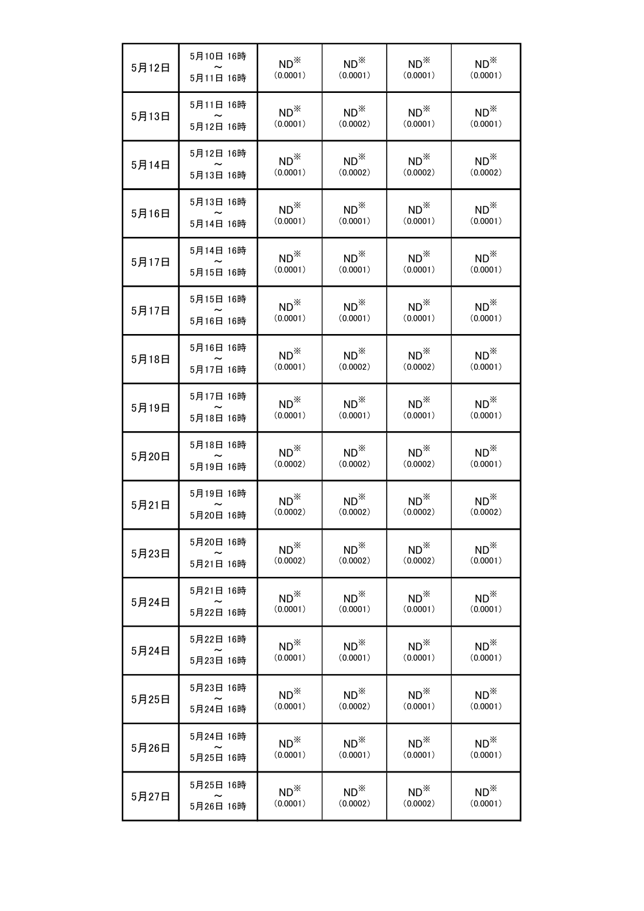| 5月12日 | 5月10日 16時 | $ND^*$                | $ND^*$   | $ND^*$        | $ND^*$        |
|-------|-----------|-----------------------|----------|---------------|---------------|
|       | 5月11日 16時 | (0.0001)              | (0.0001) | (0.0001)      | (0.0001)      |
| 5月13日 | 5月11日 16時 | $ND^*$                | $ND^*$   | $ND^*$        | $ND^*$        |
|       | 5月12日 16時 | (0.0001)              | (0.0002) | (0.0001)      | (0.0001)      |
| 5月14日 | 5月12日 16時 | $ND^*$                | $ND^*$   | $ND^*$        | $ND^*$        |
|       | 5月13日 16時 | (0.0001)              | (0.0002) | (0.0002)      | (0.0002)      |
| 5月16日 | 5月13日 16時 | $ND^*$                | $ND^*$   | $ND^*$        | $ND^*$        |
|       | 5月14日 16時 | (0.0001)              | (0.0001) | (0.0001)      | (0.0001)      |
| 5月17日 | 5月14日 16時 | $ND^*$                | $ND^*$   | $ND^*$        | $ND^{\times}$ |
|       | 5月15日 16時 | (0.0001)              | (0.0001) | (0.0001)      | (0.0001)      |
| 5月17日 | 5月15日 16時 | $ND^*$                | $ND^*$   | $ND^*$        | $ND^*$        |
|       | 5月16日 16時 | (0.0001)              | (0.0001) | (0.0001)      | (0.0001)      |
| 5月18日 | 5月16日 16時 | $ND^*$                | $ND^*$   | $ND^*$        | $ND^*$        |
|       | 5月17日 16時 | (0.0001)              | (0.0002) | (0.0002)      | (0.0001)      |
| 5月19日 | 5月17日 16時 | $ND^*$                | $ND^*$   | $ND^*$        | $ND^*$        |
|       | 5月18日 16時 | (0.0001)              | (0.0001) | (0.0001)      | (0.0001)      |
| 5月20日 | 5月18日 16時 | $ND^*$                | $ND^*$   | $ND^{\times}$ | $ND^*$        |
|       | 5月19日 16時 | (0.0002)              | (0.0002) | (0.0002)      | (0.0001)      |
| 5月21日 | 5月19日 16時 | $ND^*$                | $ND^*$   | $ND^*$        | $ND^*$        |
|       | 5月20日 16時 | (0.0002)              | (0.0002) | (0.0002)      | (0.0002)      |
| 5月23日 | 5月20日 16時 | $ND^*$                | $ND^*$   | $ND^*$        | $ND^*$        |
|       | 5月21日 16時 | (0.0002)              | (0.0002) | (0.0002)      | (0.0001)      |
| 5月24日 | 5月21日 16時 | $ND^*$                | $ND^*$   | $ND^*$        | $ND^*$        |
|       | 5月22日 16時 | (0.0001)              | (0.0001) | (0.0001)      | (0.0001)      |
| 5月24日 | 5月22日 16時 | $ND^{\divideontimes}$ | $ND^*$   | $ND^*$        | $ND^*$        |
|       | 5月23日 16時 | (0.0001)              | (0.0001) | (0.0001)      | (0.0001)      |
| 5月25日 | 5月23日 16時 | $ND^*$                | $ND^*$   | $ND^*$        | $ND^*$        |
|       | 5月24日 16時 | (0.0001)              | (0.0002) | (0.0001)      | (0.0001)      |
| 5月26日 | 5月24日 16時 | $ND^{\times}$         | $ND^*$   | $ND^*$        | $ND^*$        |
|       | 5月25日 16時 | (0.0001)              | (0.0001) | (0.0001)      | (0.0001)      |
| 5月27日 | 5月25日 16時 | $ND^*$                | $ND^*$   | $ND^*$        | $ND^*$        |
|       | 5月26日 16時 | (0.0001)              | (0.0002) | (0.0002)      | (0.0001)      |